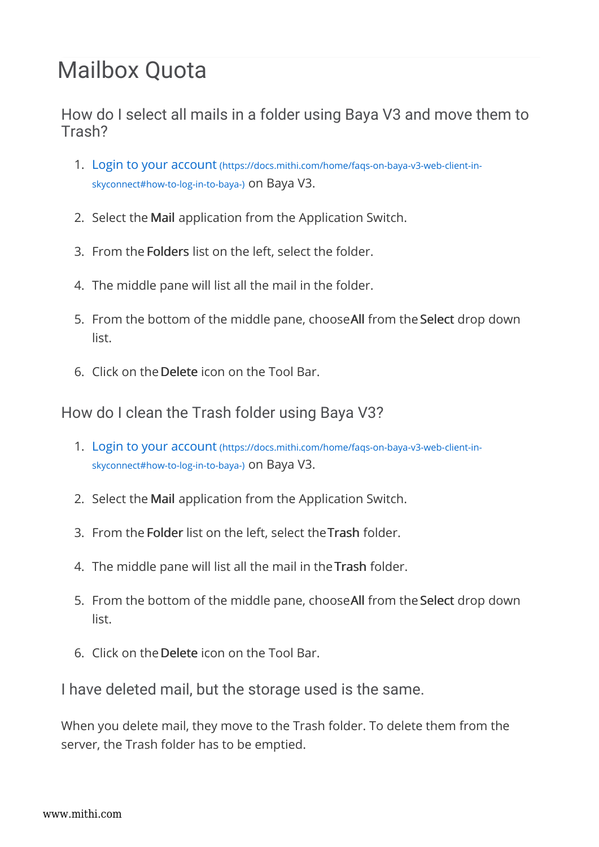## Mailbox Quota

How do I select all mails in a folder using Baya V3 and move them to Trash?

- 1. Login to your account (https://docs.mithi.com/home/faqs-on-baya-v3-web-client-inskyconnect#how-to-log-in-to-baya-) on Baya V3.
- 2. Select the Mail application from the Application Switch.
- 3. From the Folders list on the left, select the folder.
- 4. The middle pane will list all the mail in the folder.
- 5. From the bottom of the middle pane, chooseAll from the Select drop down list.
- 6. Click on theDelete icon on the Tool Bar.

How do I clean the Trash folder using Baya V3?

- 1. Login to your account (https://docs.mithi.com/home/faqs-on-baya-v3-web-client-inskyconnect#how-to-log-in-to-baya-) on Baya V3.
- 2. Select the Mail application from the Application Switch.
- 3. From the Folder list on the left, select theTrash folder.
- 4. The middle pane will list all the mail in theTrash folder.
- 5. From the bottom of the middle pane, chooseAll from the Select drop down list.
- 6. Click on theDelete icon on the Tool Bar.

I have deleted mail, but the storage used is the same.

When you delete mail, they move to the Trash folder. To delete them from the server, the Trash folder has to be emptied.